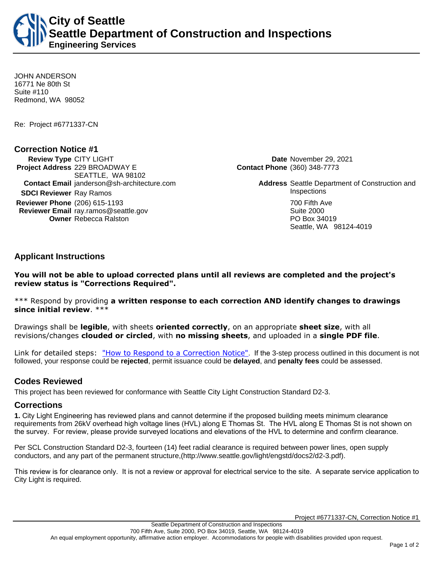**City of Seattle Seattle Department of Construction and Inspections Engineering Services**

JOHN ANDERSON 16771 Ne 80th St Suite #110 Redmond, WA 98052

Re: Project #6771337-CN

### **Correction Notice #1**

**Review Type** CITY LIGHT **Date** November 29, 2021 **Project Address** 229 BROADWAY E SEATTLE, WA 98102 **Contact Email** janderson@sh-architecture.com **Address** Seattle Department of Construction and **SDCI Reviewer** Ray Ramos **Inspections Reviewer Phone** (206) 615-1193 **700 Fifth Ave Reviewer Email** ray.ramos@seattle.gov Suite 2000 **Owner** Rebecca Ralston **PO Box 34019** 

**Contact Phone** (360) 348-7773

Seattle, WA 98124-4019

# **Applicant Instructions**

**You will not be able to upload corrected plans until all reviews are completed and the project's review status is "Corrections Required".**

\*\*\* Respond by providing **a written response to each correction AND identify changes to drawings since initial review**. \*\*\*

Drawings shall be **legible**, with sheets **oriented correctly**, on an appropriate **sheet size**, with all revisions/changes **clouded or circled**, with **no missing sheets**, and uploaded in a **single PDF file**.

Link for detailed steps: ["How to Respond to a Correction Notice"](http://www.seattle.gov/documents/Departments/SDCI/Permits/HowtoRespondSDCICorrectionNotice.pdf). If the 3-step process outlined in this document is not followed, your response could be **rejected**, permit issuance could be **delayed**, and **penalty fees** could be assessed.

# **Codes Reviewed**

This project has been reviewed for conformance with Seattle City Light Construction Standard D2-3.

# **Corrections**

**1.** City Light Engineering has reviewed plans and cannot determine if the proposed building meets minimum clearance requirements from 26kV overhead high voltage lines (HVL) along E Thomas St. The HVL along E Thomas St is not shown on the survey. For review, please provide surveyed locations and elevations of the HVL to determine and confirm clearance.

Per SCL Construction Standard D2-3, fourteen (14) feet radial clearance is required between power lines, open supply conductors, and any part of the permanent structure,(http://www.seattle.gov/light/engstd/docs2/d2-3.pdf).

This review is for clearance only. It is not a review or approval for electrical service to the site. A separate service application to City Light is required.